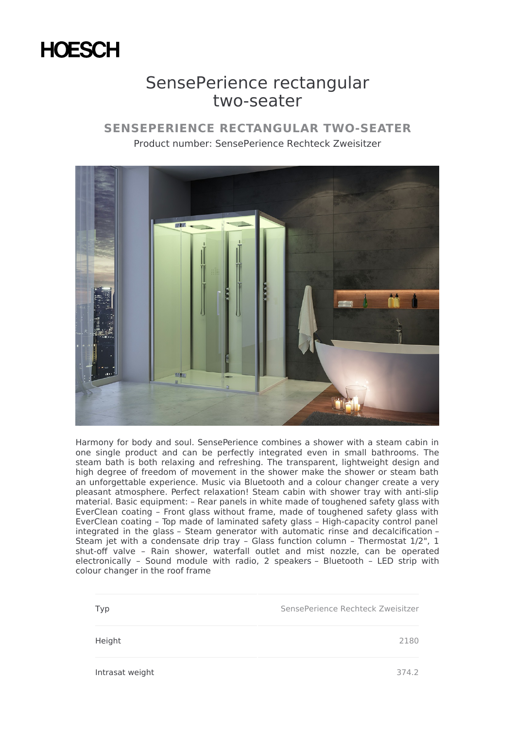## **HOESCH**

## SensePerience rectangular two-seater

## **SENSEPERIENCE RECTANGULAR TWO-SEATER** Product number: SensePerience Rechteck Zweisitzer



Harmony for body and soul. SensePerience combines a shower with a steam cabin in one single product and can be perfectly integrated even in small bathrooms. The steam bath is both relaxing and refreshing. The transparent, lightweight design and high degree of freedom of movement in the shower make the shower or steam bath an unforgettable experience. Music via Bluetooth and a colour changer create a very pleasant atmosphere. Perfect relaxation! Steam cabin with shower tray with anti-slip material. Basic equipment: – Rear panels in white made of toughened safety glass with EverClean coating – Front glass without frame, made of toughened safety glass with EverClean coating – Top made of laminated safety glass – High-capacity control panel integrated in the glass – Steam generator with automatic rinse and decalcification – Steam jet with a condensate drip tray - Glass function column - Thermostat 1/2", 1 shut-off valve – Rain shower, waterfall outlet and mist nozzle, can be operated electronically – Sound module with radio, 2 speakers – Bluetooth – LED strip with colour changer in the roof frame

| Typ             | SensePerience Rechteck Zweisitzer |
|-----------------|-----------------------------------|
| Height          | 2180                              |
| Intrasat weight | 374.2                             |